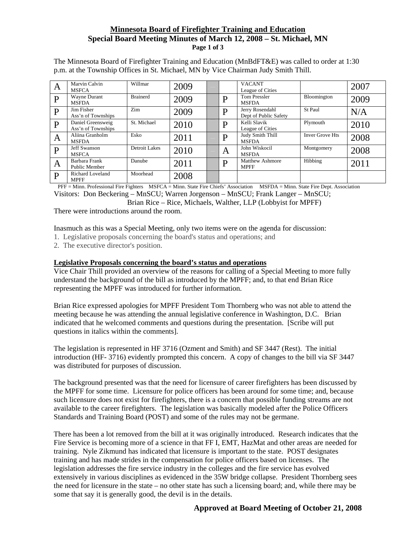## **Minnesota Board of Firefighter Training and Education Special Board Meeting Minutes of March 12, 2008 – St. Michael, MN Page 1 of 3**

The Minnesota Board of Firefighter Training and Education (MnBdFT&E) was called to order at 1:30 p.m. at the Township Offices in St. Michael, MN by Vice Chairman Judy Smith Thill.

| A            | Marvin Calvin<br><b>MSFCA</b>           | Willmar         | 2009 |   | <b>VACANT</b><br>League of Cities        |                        | 2007 |
|--------------|-----------------------------------------|-----------------|------|---|------------------------------------------|------------------------|------|
| $\mathbf P$  | Wayne Durant<br><b>MSFDA</b>            | <b>Brainerd</b> | 2009 | D | <b>Tom Pressler</b><br><b>MSFDA</b>      | Bloomington            | 2009 |
| $\mathbf{P}$ | Jim Fisher<br>Ass'n of Townships        | Zim             | 2009 | D | Jerry Rosendahl<br>Dept of Public Safety | St Paul                | N/A  |
| $\mathbf{P}$ | Daniel Greensweig<br>Ass'n of Townships | St. Michael     | 2010 | D | Kelli Slavik<br>League of Cities         | Plymouth               | 2010 |
| A            | Aliina Granholm<br><b>MSFDA</b>         | Esko            | 2011 | D | Judy Smith Thill<br><b>MSFDA</b>         | <b>Inver Grove Hts</b> | 2008 |
| $\mathbf{P}$ | <b>Jeff Swanson</b><br><b>MSFCA</b>     | Detroit Lakes   | 2010 | A | John Wiskocil<br><b>MSFDA</b>            | Montgomery             | 2008 |
| A            | Barbara Frank<br>Public Member          | Danube          | 2011 | D | <b>Matthew Ashmore</b><br><b>MPFF</b>    | Hibbing                | 2011 |
| P            | <b>Richard Loveland</b><br><b>MPFF</b>  | Moorhead        | 2008 |   |                                          |                        |      |

PFF = Minn. Professional Fire Fighters MSFCA = Minn. State Fire Chiefs' Association MSFDA = Minn. State Fire Dept. Association

Visitors: Don Beckering – MnSCU; Warren Jorgenson – MnSCU; Frank Langer – MnSCU;

Brian Rice – Rice, Michaels, Walther, LLP (Lobbyist for MPFF)

There were introductions around the room.

Inasmuch as this was a Special Meeting, only two items were on the agenda for discussion:

1. Legislative proposals concerning the board's status and operations; and

2. The executive director's position.

#### **Legislative Proposals concerning the board's status and operations**

Vice Chair Thill provided an overview of the reasons for calling of a Special Meeting to more fully understand the background of the bill as introduced by the MPFF; and, to that end Brian Rice representing the MPFF was introduced for further information.

Brian Rice expressed apologies for MPFF President Tom Thornberg who was not able to attend the meeting because he was attending the annual legislative conference in Washington, D.C. Brian indicated that he welcomed comments and questions during the presentation. [Scribe will put questions in italics within the comments].

The legislation is represented in HF 3716 (Ozment and Smith) and SF 3447 (Rest). The initial introduction (HF- 3716) evidently prompted this concern. A copy of changes to the bill via SF 3447 was distributed for purposes of discussion.

The background presented was that the need for licensure of career firefighters has been discussed by the MPFF for some time. Licensure for police officers has been around for some time; and, because such licensure does not exist for firefighters, there is a concern that possible funding streams are not available to the career firefighters. The legislation was basically modeled after the Police Officers Standards and Training Board (POST) and some of the rules may not be germane.

There has been a lot removed from the bill at it was originally introduced. Research indicates that the Fire Service is becoming more of a science in that FF I, EMT, HazMat and other areas are needed for training. Nyle Zikmund has indicated that licensure is important to the state. POST designates training and has made strides in the compensation for police officers based on licenses. The legislation addresses the fire service industry in the colleges and the fire service has evolved extensively in various disciplines as evidenced in the 35W bridge collapse. President Thornberg sees the need for licensure in the state – no other state has such a licensing board; and, while there may be some that say it is generally good, the devil is in the details.

# **Approved at Board Meeting of October 21, 2008**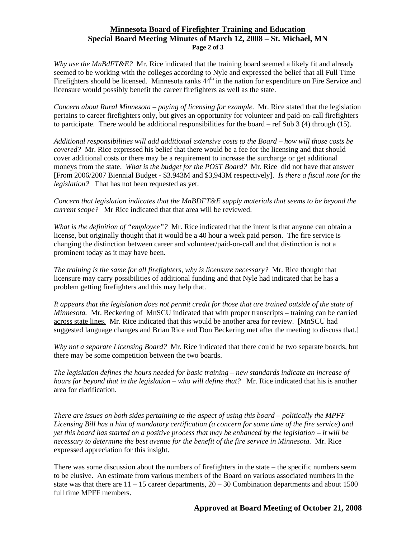### **Minnesota Board of Firefighter Training and Education Special Board Meeting Minutes of March 12, 2008 – St. Michael, MN Page 2 of 3**

*Why use the MnBdFT&E?* Mr. Rice indicated that the training board seemed a likely fit and already seemed to be working with the colleges according to Nyle and expressed the belief that all Full Time Firefighters should be licensed. Minnesota ranks  $44<sup>th</sup>$  in the nation for expenditure on Fire Service and licensure would possibly benefit the career firefighters as well as the state.

*Concern about Rural Minnesota – paying of licensing for example.* Mr. Rice stated that the legislation pertains to career firefighters only, but gives an opportunity for volunteer and paid-on-call firefighters to participate. There would be additional responsibilities for the board – ref Sub  $3$  (4) through (15).

*Additional responsibilities will add additional extensive costs to the Board – how will those costs be covered?* Mr. Rice expressed his belief that there would be a fee for the licensing and that should cover additional costs or there may be a requirement to increase the surcharge or get additional moneys from the state. *What is the budget for the POST Board?* Mr. Rice did not have that answer [From 2006/2007 Biennial Budget - \$3.943M and \$3,943M respectively]. *Is there a fiscal note for the legislation?* That has not been requested as yet.

*Concern that legislation indicates that the MnBDFT&E supply materials that seems to be beyond the current scope?* Mr Rice indicated that that area will be reviewed.

*What is the definition of "employee"?* Mr. Rice indicated that the intent is that anyone can obtain a license, but originally thought that it would be a 40 hour a week paid person. The fire service is changing the distinction between career and volunteer/paid-on-call and that distinction is not a prominent today as it may have been.

*The training is the same for all firefighters, why is licensure necessary?* Mr. Rice thought that licensure may carry possibilities of additional funding and that Nyle had indicated that he has a problem getting firefighters and this may help that.

*It appears that the legislation does not permit credit for those that are trained outside of the state of Minnesota.* Mr. Beckering of MnSCU indicated that with proper transcripts – training can be carried across state lines. Mr. Rice indicated that this would be another area for review. [MnSCU had suggested language changes and Brian Rice and Don Beckering met after the meeting to discuss that.]

*Why not a separate Licensing Board?* Mr. Rice indicated that there could be two separate boards, but there may be some competition between the two boards.

*The legislation defines the hours needed for basic training – new standards indicate an increase of hours far beyond that in the legislation – who will define that?* Mr. Rice indicated that his is another area for clarification.

*There are issues on both sides pertaining to the aspect of using this board – politically the MPFF Licensing Bill has a hint of mandatory certification (a concern for some time of the fire service) and yet this board has started on a positive process that may be enhanced by the legislation – it will be necessary to determine the best avenue for the benefit of the fire service in Minnesota.* Mr. Rice expressed appreciation for this insight.

There was some discussion about the numbers of firefighters in the state – the specific numbers seem to be elusive. An estimate from various members of the Board on various associated numbers in the state was that there are  $11 - 15$  career departments,  $20 - 30$  Combination departments and about 1500 full time MPFF members.